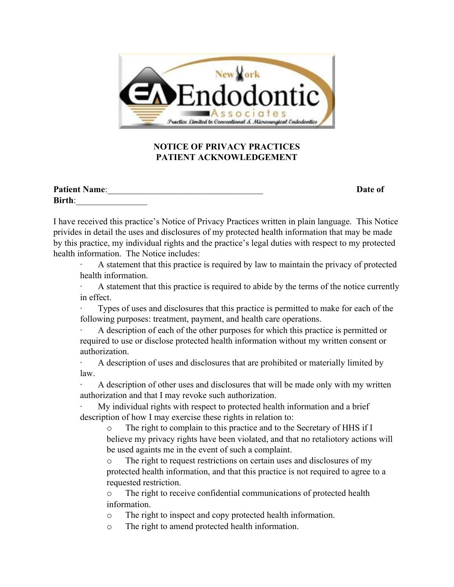

## **NOTICE OF PRIVACY PRACTICES PATIENT ACKNOWLEDGEMENT**

| <b>Patient Name:</b> | <b>Date of</b> |
|----------------------|----------------|
| <b>Birth:</b>        |                |

I have received this practice's Notice of Privacy Practices written in plain language. This Notice privides in detail the uses and disclosures of my protected health information that may be made by this practice, my individual rights and the practice's legal duties with respect to my protected health information. The Notice includes:

A statement that this practice is required by law to maintain the privacy of protected health information.

· A statement that this practice is required to abide by the terms of the notice currently in effect.

Types of uses and disclosures that this practice is permitted to make for each of the following purposes: treatment, payment, and health care operations.

· A description of each of the other purposes for which this practice is permitted or required to use or disclose protected health information without my written consent or authorization.

· A description of uses and disclosures that are prohibited or materially limited by law.

· A description of other uses and disclosures that will be made only with my written authorization and that I may revoke such authorization.

My individual rights with respect to protected health information and a brief description of how I may exercise these rights in relation to:

o The right to complain to this practice and to the Secretary of HHS if I believe my privacy rights have been violated, and that no retaliotory actions will be used againts me in the event of such a complaint.

o The right to request restrictions on certain uses and disclosures of my protected health information, and that this practice is not required to agree to a requested restriction.

o The right to receive confidential communications of protected health information.

o The right to inspect and copy protected health information.

o The right to amend protected health information.